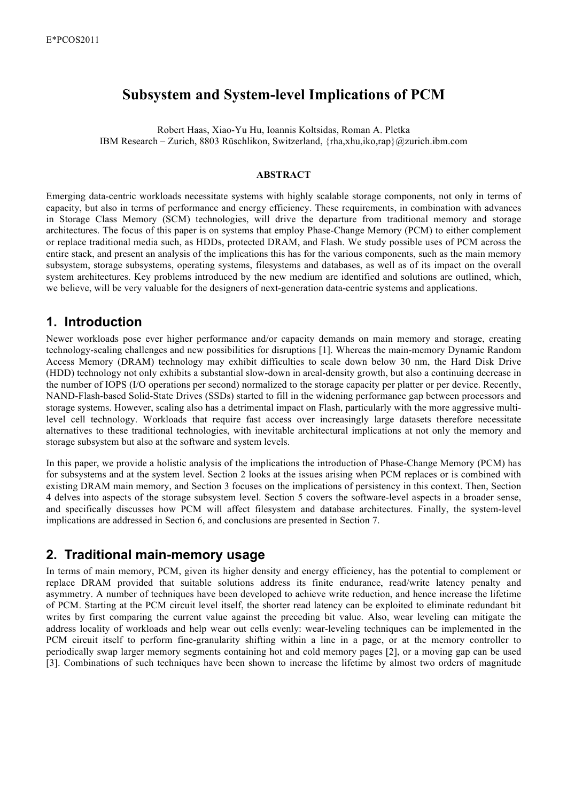# **Subsystem and System-level Implications of PCM**

Robert Haas, Xiao-Yu Hu, Ioannis Koltsidas, Roman A. Pletka IBM Research – Zurich, 8803 Rüschlikon, Switzerland, {rha,xhu,iko,rap}@zurich.ibm.com

### **ABSTRACT**

Emerging data-centric workloads necessitate systems with highly scalable storage components, not only in terms of capacity, but also in terms of performance and energy efficiency. These requirements, in combination with advances in Storage Class Memory (SCM) technologies, will drive the departure from traditional memory and storage architectures. The focus of this paper is on systems that employ Phase-Change Memory (PCM) to either complement or replace traditional media such, as HDDs, protected DRAM, and Flash. We study possible uses of PCM across the entire stack, and present an analysis of the implications this has for the various components, such as the main memory subsystem, storage subsystems, operating systems, filesystems and databases, as well as of its impact on the overall system architectures. Key problems introduced by the new medium are identified and solutions are outlined, which, we believe, will be very valuable for the designers of next-generation data-centric systems and applications.

### **1. Introduction**

Newer workloads pose ever higher performance and/or capacity demands on main memory and storage, creating technology-scaling challenges and new possibilities for disruptions [1]. Whereas the main-memory Dynamic Random Access Memory (DRAM) technology may exhibit difficulties to scale down below 30 nm, the Hard Disk Drive (HDD) technology not only exhibits a substantial slow-down in areal-density growth, but also a continuing decrease in the number of IOPS (I/O operations per second) normalized to the storage capacity per platter or per device. Recently, NAND-Flash-based Solid-State Drives (SSDs) started to fill in the widening performance gap between processors and storage systems. However, scaling also has a detrimental impact on Flash, particularly with the more aggressive multilevel cell technology. Workloads that require fast access over increasingly large datasets therefore necessitate alternatives to these traditional technologies, with inevitable architectural implications at not only the memory and storage subsystem but also at the software and system levels.

In this paper, we provide a holistic analysis of the implications the introduction of Phase-Change Memory (PCM) has for subsystems and at the system level. Section 2 looks at the issues arising when PCM replaces or is combined with existing DRAM main memory, and Section 3 focuses on the implications of persistency in this context. Then, Section 4 delves into aspects of the storage subsystem level. Section 5 covers the software-level aspects in a broader sense, and specifically discusses how PCM will affect filesystem and database architectures. Finally, the system-level implications are addressed in Section 6, and conclusions are presented in Section 7.

## **2. Traditional main-memory usage**

In terms of main memory, PCM, given its higher density and energy efficiency, has the potential to complement or replace DRAM provided that suitable solutions address its finite endurance, read/write latency penalty and asymmetry. A number of techniques have been developed to achieve write reduction, and hence increase the lifetime of PCM. Starting at the PCM circuit level itself, the shorter read latency can be exploited to eliminate redundant bit writes by first comparing the current value against the preceding bit value. Also, wear leveling can mitigate the address locality of workloads and help wear out cells evenly: wear-leveling techniques can be implemented in the PCM circuit itself to perform fine-granularity shifting within a line in a page, or at the memory controller to periodically swap larger memory segments containing hot and cold memory pages [2], or a moving gap can be used [3]. Combinations of such techniques have been shown to increase the lifetime by almost two orders of magnitude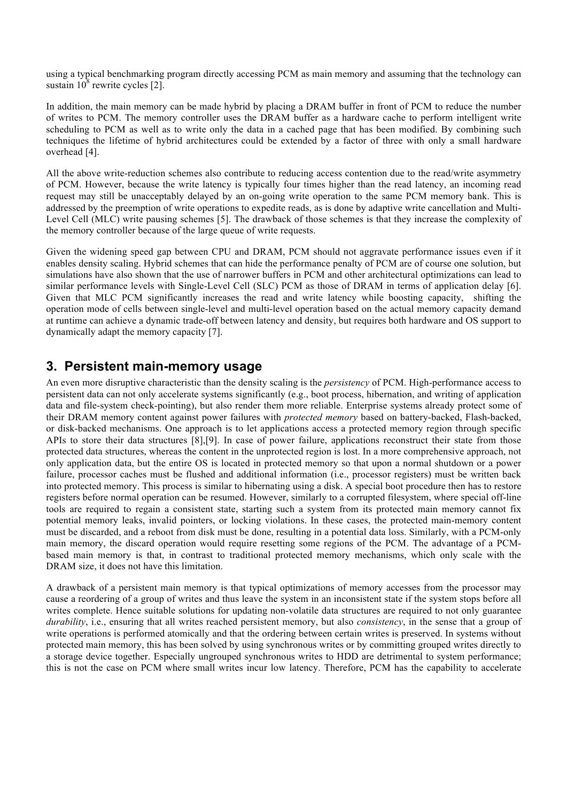using a typical benchmarking program directly accessing PCM as main memory and assuming that the technology can sustain  $10^8$  rewrite cycles [2].

In addition, the main memory can be made hybrid by placing a DRAM buffer in front of PCM to reduce the number of writes to PCM. The memory controller uses the DRAM buffer as a hardware cache to perform intelligent write scheduling to PCM as well as to write only the data in a cached page that has been modified. By combining such techniques the lifetime of hybrid architectures could be extended by a factor of three with only a small hardware overhead [4].

All the above write-reduction schemes also contribute to reducing access contention due to the read/write asymmetry of PCM. However, because the write latency is typically four times higher than the read latency, an incoming read request may still be unacceptably delayed by an on-going write operation to the same PCM memory bank. This is addressed by the preemption of write operations to expedite reads, as is done by adaptive write cancellation and Multi-Level Cell (MLC) write pausing schemes [5]. The drawback of those schemes is that they increase the complexity of the memory controller because of the large queue of write requests.

Given the widening speed gap between CPU and DRAM, PCM should not aggravate performance issues even if it enables density scaling. Hybrid schemes that can hide the performance penalty of PCM are of course one solution, but simulations have also shown that the use of narrower buffers in PCM and other architectural optimizations can lead to similar performance levels with Single-Level Cell (SLC) PCM as those of DRAM in terms of application delay [6]. Given that MLC PCM significantly increases the read and write latency while boosting capacity, shifting the operation mode of cells between single-level and multi-level operation based on the actual memory capacity demand at runtime can achieve a dynamic trade-off between latency and density, but requires both hardware and OS support to dynamically adapt the memory capacity [7].

## **3. Persistent main-memory usage**

An even more disruptive characteristic than the density scaling is the *persistency* of PCM. High-performance access to persistent data can not only accelerate systems significantly (e.g., boot process, hibernation, and writing of application data and file-system check-pointing), but also render them more reliable. Enterprise systems already protect some of their DRAM memory content against power failures with *protected memory* based on battery-backed, Flash-backed, or disk-backed mechanisms. One approach is to let applications access a protected memory region through specific APIs to store their data structures [8],[9]. In case of power failure, applications reconstruct their state from those protected data structures, whereas the content in the unprotected region is lost. In a more comprehensive approach, not only application data, but the entire OS is located in protected memory so that upon a normal shutdown or a power failure, processor caches must be flushed and additional information (i.e., processor registers) must be written back into protected memory. This process is similar to hibernating using a disk. A special boot procedure then has to restore registers before normal operation can be resumed. However, similarly to a corrupted filesystem, where special off-line tools are required to regain a consistent state, starting such a system from its protected main memory cannot fix potential memory leaks, invalid pointers, or locking violations. In these cases, the protected main-memory content must be discarded, and a reboot from disk must be done, resulting in a potential data loss. Similarly, with a PCM-only main memory, the discard operation would require resetting some regions of the PCM. The advantage of a PCMbased main memory is that, in contrast to traditional protected memory mechanisms, which only scale with the DRAM size, it does not have this limitation.

A drawback of a persistent main memory is that typical optimizations of memory accesses from the processor may cause a reordering of a group of writes and thus leave the system in an inconsistent state if the system stops before all writes complete. Hence suitable solutions for updating non-volatile data structures are required to not only guarantee *durability*, i.e., ensuring that all writes reached persistent memory, but also *consistency*, in the sense that a group of write operations is performed atomically and that the ordering between certain writes is preserved. In systems without protected main memory, this has been solved by using synchronous writes or by committing grouped writes directly to a storage device together. Especially ungrouped synchronous writes to HDD are detrimental to system performance; this is not the case on PCM where small writes incur low latency. Therefore, PCM has the capability to accelerate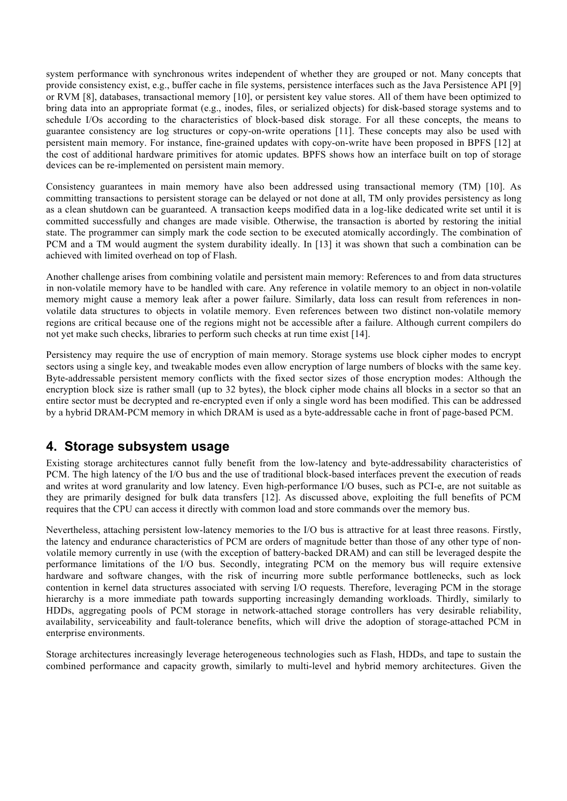system performance with synchronous writes independent of whether they are grouped or not. Many concepts that provide consistency exist, e.g., buffer cache in file systems, persistence interfaces such as the Java Persistence API [9] or RVM [8], databases, transactional memory [10], or persistent key value stores. All of them have been optimized to bring data into an appropriate format (e.g., inodes, files, or serialized objects) for disk-based storage systems and to schedule I/Os according to the characteristics of block-based disk storage. For all these concepts, the means to guarantee consistency are log structures or copy-on-write operations [11]. These concepts may also be used with persistent main memory. For instance, fine-grained updates with copy-on-write have been proposed in BPFS [12] at the cost of additional hardware primitives for atomic updates. BPFS shows how an interface built on top of storage devices can be re-implemented on persistent main memory.

Consistency guarantees in main memory have also been addressed using transactional memory (TM) [10]. As committing transactions to persistent storage can be delayed or not done at all, TM only provides persistency as long as a clean shutdown can be guaranteed. A transaction keeps modified data in a log-like dedicated write set until it is committed successfully and changes are made visible. Otherwise, the transaction is aborted by restoring the initial state. The programmer can simply mark the code section to be executed atomically accordingly. The combination of PCM and a TM would augment the system durability ideally. In [13] it was shown that such a combination can be achieved with limited overhead on top of Flash.

Another challenge arises from combining volatile and persistent main memory: References to and from data structures in non-volatile memory have to be handled with care. Any reference in volatile memory to an object in non-volatile memory might cause a memory leak after a power failure. Similarly, data loss can result from references in nonvolatile data structures to objects in volatile memory. Even references between two distinct non-volatile memory regions are critical because one of the regions might not be accessible after a failure. Although current compilers do not yet make such checks, libraries to perform such checks at run time exist [14].

Persistency may require the use of encryption of main memory. Storage systems use block cipher modes to encrypt sectors using a single key, and tweakable modes even allow encryption of large numbers of blocks with the same key. Byte-addressable persistent memory conflicts with the fixed sector sizes of those encryption modes: Although the encryption block size is rather small (up to 32 bytes), the block cipher mode chains all blocks in a sector so that an entire sector must be decrypted and re-encrypted even if only a single word has been modified. This can be addressed by a hybrid DRAM-PCM memory in which DRAM is used as a byte-addressable cache in front of page-based PCM.

## **4. Storage subsystem usage**

Existing storage architectures cannot fully benefit from the low-latency and byte-addressability characteristics of PCM. The high latency of the I/O bus and the use of traditional block-based interfaces prevent the execution of reads and writes at word granularity and low latency. Even high-performance I/O buses, such as PCI-e, are not suitable as they are primarily designed for bulk data transfers [12]. As discussed above, exploiting the full benefits of PCM requires that the CPU can access it directly with common load and store commands over the memory bus.

Nevertheless, attaching persistent low-latency memories to the I/O bus is attractive for at least three reasons. Firstly, the latency and endurance characteristics of PCM are orders of magnitude better than those of any other type of nonvolatile memory currently in use (with the exception of battery-backed DRAM) and can still be leveraged despite the performance limitations of the I/O bus. Secondly, integrating PCM on the memory bus will require extensive hardware and software changes, with the risk of incurring more subtle performance bottlenecks, such as lock contention in kernel data structures associated with serving I/O requests. Therefore, leveraging PCM in the storage hierarchy is a more immediate path towards supporting increasingly demanding workloads. Thirdly, similarly to HDDs, aggregating pools of PCM storage in network-attached storage controllers has very desirable reliability, availability, serviceability and fault-tolerance benefits, which will drive the adoption of storage-attached PCM in enterprise environments.

Storage architectures increasingly leverage heterogeneous technologies such as Flash, HDDs, and tape to sustain the combined performance and capacity growth, similarly to multi-level and hybrid memory architectures. Given the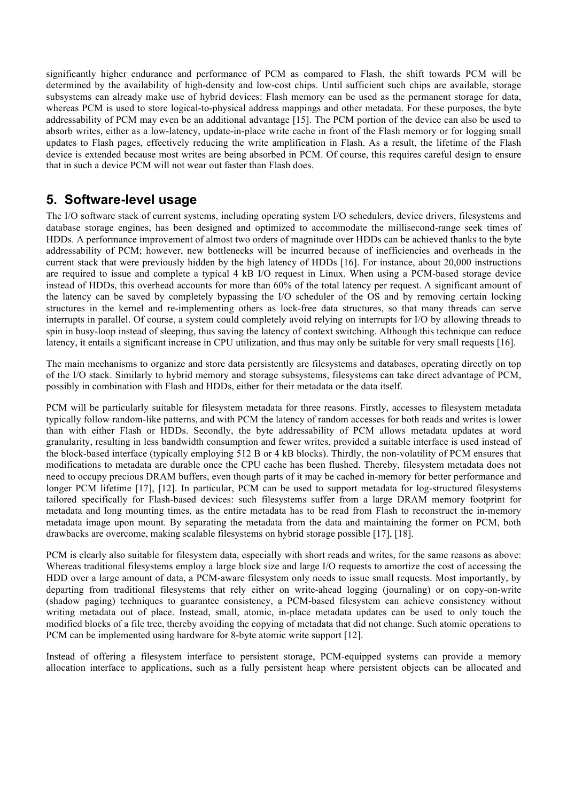significantly higher endurance and performance of PCM as compared to Flash, the shift towards PCM will be determined by the availability of high-density and low-cost chips. Until sufficient such chips are available, storage subsystems can already make use of hybrid devices: Flash memory can be used as the permanent storage for data, whereas PCM is used to store logical-to-physical address mappings and other metadata. For these purposes, the byte addressability of PCM may even be an additional advantage [15]. The PCM portion of the device can also be used to absorb writes, either as a low-latency, update-in-place write cache in front of the Flash memory or for logging small updates to Flash pages, effectively reducing the write amplification in Flash. As a result, the lifetime of the Flash device is extended because most writes are being absorbed in PCM. Of course, this requires careful design to ensure that in such a device PCM will not wear out faster than Flash does.

# **5. Software-level usage**

The I/O software stack of current systems, including operating system I/O schedulers, device drivers, filesystems and database storage engines, has been designed and optimized to accommodate the millisecond-range seek times of HDDs. A performance improvement of almost two orders of magnitude over HDDs can be achieved thanks to the byte addressability of PCM; however, new bottlenecks will be incurred because of inefficiencies and overheads in the current stack that were previously hidden by the high latency of HDDs [16]. For instance, about 20,000 instructions are required to issue and complete a typical 4 kB I/O request in Linux. When using a PCM-based storage device instead of HDDs, this overhead accounts for more than 60% of the total latency per request. A significant amount of the latency can be saved by completely bypassing the I/O scheduler of the OS and by removing certain locking structures in the kernel and re-implementing others as lock-free data structures, so that many threads can serve interrupts in parallel. Of course, a system could completely avoid relying on interrupts for I/O by allowing threads to spin in busy-loop instead of sleeping, thus saving the latency of context switching. Although this technique can reduce latency, it entails a significant increase in CPU utilization, and thus may only be suitable for very small requests [16].

The main mechanisms to organize and store data persistently are filesystems and databases, operating directly on top of the I/O stack. Similarly to hybrid memory and storage subsystems, filesystems can take direct advantage of PCM, possibly in combination with Flash and HDDs, either for their metadata or the data itself.

PCM will be particularly suitable for filesystem metadata for three reasons. Firstly, accesses to filesystem metadata typically follow random-like patterns, and with PCM the latency of random accesses for both reads and writes is lower than with either Flash or HDDs. Secondly, the byte addressability of PCM allows metadata updates at word granularity, resulting in less bandwidth consumption and fewer writes, provided a suitable interface is used instead of the block-based interface (typically employing 512 B or 4 kB blocks). Thirdly, the non-volatility of PCM ensures that modifications to metadata are durable once the CPU cache has been flushed. Thereby, filesystem metadata does not need to occupy precious DRAM buffers, even though parts of it may be cached in-memory for better performance and longer PCM lifetime [17], [12]. In particular, PCM can be used to support metadata for log-structured filesystems tailored specifically for Flash-based devices: such filesystems suffer from a large DRAM memory footprint for metadata and long mounting times, as the entire metadata has to be read from Flash to reconstruct the in-memory metadata image upon mount. By separating the metadata from the data and maintaining the former on PCM, both drawbacks are overcome, making scalable filesystems on hybrid storage possible [17], [18].

PCM is clearly also suitable for filesystem data, especially with short reads and writes, for the same reasons as above: Whereas traditional filesystems employ a large block size and large I/O requests to amortize the cost of accessing the HDD over a large amount of data, a PCM-aware filesystem only needs to issue small requests. Most importantly, by departing from traditional filesystems that rely either on write-ahead logging (journaling) or on copy-on-write (shadow paging) techniques to guarantee consistency, a PCM-based filesystem can achieve consistency without writing metadata out of place. Instead, small, atomic, in-place metadata updates can be used to only touch the modified blocks of a file tree, thereby avoiding the copying of metadata that did not change. Such atomic operations to PCM can be implemented using hardware for 8-byte atomic write support [12].

Instead of offering a filesystem interface to persistent storage, PCM-equipped systems can provide a memory allocation interface to applications, such as a fully persistent heap where persistent objects can be allocated and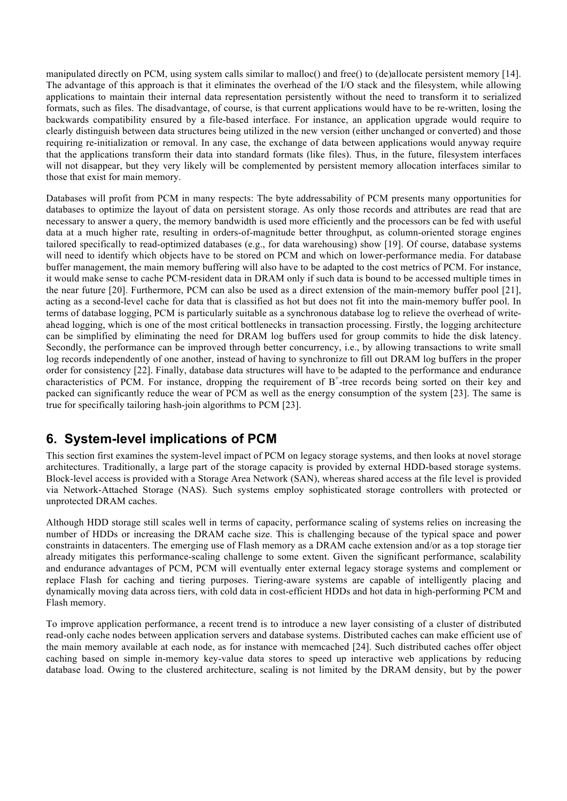manipulated directly on PCM, using system calls similar to malloc() and free() to (de)allocate persistent memory [14]. The advantage of this approach is that it eliminates the overhead of the I/O stack and the filesystem, while allowing applications to maintain their internal data representation persistently without the need to transform it to serialized formats, such as files. The disadvantage, of course, is that current applications would have to be re-written, losing the backwards compatibility ensured by a file-based interface. For instance, an application upgrade would require to clearly distinguish between data structures being utilized in the new version (either unchanged or converted) and those requiring re-initialization or removal. In any case, the exchange of data between applications would anyway require that the applications transform their data into standard formats (like files). Thus, in the future, filesystem interfaces will not disappear, but they very likely will be complemented by persistent memory allocation interfaces similar to those that exist for main memory.

Databases will profit from PCM in many respects: The byte addressability of PCM presents many opportunities for databases to optimize the layout of data on persistent storage. As only those records and attributes are read that are necessary to answer a query, the memory bandwidth is used more efficiently and the processors can be fed with useful data at a much higher rate, resulting in orders-of-magnitude better throughput, as column-oriented storage engines tailored specifically to read-optimized databases (e.g., for data warehousing) show [19]. Of course, database systems will need to identify which objects have to be stored on PCM and which on lower-performance media. For database buffer management, the main memory buffering will also have to be adapted to the cost metrics of PCM. For instance, it would make sense to cache PCM-resident data in DRAM only if such data is bound to be accessed multiple times in the near future [20]. Furthermore, PCM can also be used as a direct extension of the main-memory buffer pool [21], acting as a second-level cache for data that is classified as hot but does not fit into the main-memory buffer pool. In terms of database logging, PCM is particularly suitable as a synchronous database log to relieve the overhead of writeahead logging, which is one of the most critical bottlenecks in transaction processing. Firstly, the logging architecture can be simplified by eliminating the need for DRAM log buffers used for group commits to hide the disk latency. Secondly, the performance can be improved through better concurrency, i.e., by allowing transactions to write small log records independently of one another, instead of having to synchronize to fill out DRAM log buffers in the proper order for consistency [22]. Finally, database data structures will have to be adapted to the performance and endurance characteristics of PCM. For instance, dropping the requirement of  $B^+$ -tree records being sorted on their key and packed can significantly reduce the wear of PCM as well as the energy consumption of the system [23]. The same is true for specifically tailoring hash-join algorithms to PCM [23].

# **6. System-level implications of PCM**

This section first examines the system-level impact of PCM on legacy storage systems, and then looks at novel storage architectures. Traditionally, a large part of the storage capacity is provided by external HDD-based storage systems. Block-level access is provided with a Storage Area Network (SAN), whereas shared access at the file level is provided via Network-Attached Storage (NAS). Such systems employ sophisticated storage controllers with protected or unprotected DRAM caches.

Although HDD storage still scales well in terms of capacity, performance scaling of systems relies on increasing the number of HDDs or increasing the DRAM cache size. This is challenging because of the typical space and power constraints in datacenters. The emerging use of Flash memory as a DRAM cache extension and/or as a top storage tier already mitigates this performance-scaling challenge to some extent. Given the significant performance, scalability and endurance advantages of PCM, PCM will eventually enter external legacy storage systems and complement or replace Flash for caching and tiering purposes. Tiering-aware systems are capable of intelligently placing and dynamically moving data across tiers, with cold data in cost-efficient HDDs and hot data in high-performing PCM and Flash memory.

To improve application performance, a recent trend is to introduce a new layer consisting of a cluster of distributed read-only cache nodes between application servers and database systems. Distributed caches can make efficient use of the main memory available at each node, as for instance with memcached [24]. Such distributed caches offer object caching based on simple in-memory key-value data stores to speed up interactive web applications by reducing database load. Owing to the clustered architecture, scaling is not limited by the DRAM density, but by the power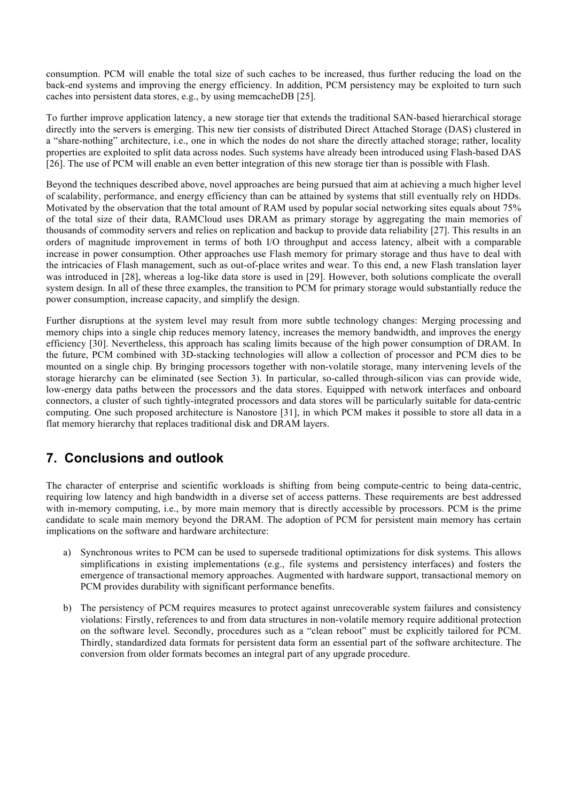consumption. PCM will enable the total size of such caches to be increased, thus further reducing the load on the back-end systems and improving the energy efficiency. In addition, PCM persistency may be exploited to turn such caches into persistent data stores, e.g., by using memcacheDB [25].

To further improve application latency, a new storage tier that extends the traditional SAN-based hierarchical storage directly into the servers is emerging. This new tier consists of distributed Direct Attached Storage (DAS) clustered in a "share-nothing" architecture, i.e., one in which the nodes do not share the directly attached storage; rather, locality properties are exploited to split data across nodes. Such systems have already been introduced using Flash-based DAS [26]. The use of PCM will enable an even better integration of this new storage tier than is possible with Flash.

Beyond the techniques described above, novel approaches are being pursued that aim at achieving a much higher level of scalability, performance, and energy efficiency than can be attained by systems that still eventually rely on HDDs. Motivated by the observation that the total amount of RAM used by popular social networking sites equals about 75% of the total size of their data, RAMCloud uses DRAM as primary storage by aggregating the main memories of thousands of commodity servers and relies on replication and backup to provide data reliability [27]. This results in an orders of magnitude improvement in terms of both I/O throughput and access latency, albeit with a comparable increase in power consumption. Other approaches use Flash memory for primary storage and thus have to deal with the intricacies of Flash management, such as out-of-place writes and wear. To this end, a new Flash translation layer was introduced in [28], whereas a log-like data store is used in [29]. However, both solutions complicate the overall system design. In all of these three examples, the transition to PCM for primary storage would substantially reduce the power consumption, increase capacity, and simplify the design.

Further disruptions at the system level may result from more subtle technology changes: Merging processing and memory chips into a single chip reduces memory latency, increases the memory bandwidth, and improves the energy efficiency [30]. Nevertheless, this approach has scaling limits because of the high power consumption of DRAM. In the future, PCM combined with 3D-stacking technologies will allow a collection of processor and PCM dies to be mounted on a single chip. By bringing processors together with non-volatile storage, many intervening levels of the storage hierarchy can be eliminated (see Section 3). In particular, so-called through-silicon vias can provide wide, low-energy data paths between the processors and the data stores. Equipped with network interfaces and onboard connectors, a cluster of such tightly-integrated processors and data stores will be particularly suitable for data-centric computing. One such proposed architecture is Nanostore [31], in which PCM makes it possible to store all data in a flat memory hierarchy that replaces traditional disk and DRAM layers.

# **7. Conclusions and outlook**

The character of enterprise and scientific workloads is shifting from being compute-centric to being data-centric, requiring low latency and high bandwidth in a diverse set of access patterns. These requirements are best addressed with in-memory computing, i.e., by more main memory that is directly accessible by processors. PCM is the prime candidate to scale main memory beyond the DRAM. The adoption of PCM for persistent main memory has certain implications on the software and hardware architecture:

- a) Synchronous writes to PCM can be used to supersede traditional optimizations for disk systems. This allows simplifications in existing implementations (e.g., file systems and persistency interfaces) and fosters the emergence of transactional memory approaches. Augmented with hardware support, transactional memory on PCM provides durability with significant performance benefits.
- b) The persistency of PCM requires measures to protect against unrecoverable system failures and consistency violations: Firstly, references to and from data structures in non-volatile memory require additional protection on the software level. Secondly, procedures such as a "clean reboot" must be explicitly tailored for PCM. Thirdly, standardized data formats for persistent data form an essential part of the software architecture. The conversion from older formats becomes an integral part of any upgrade procedure.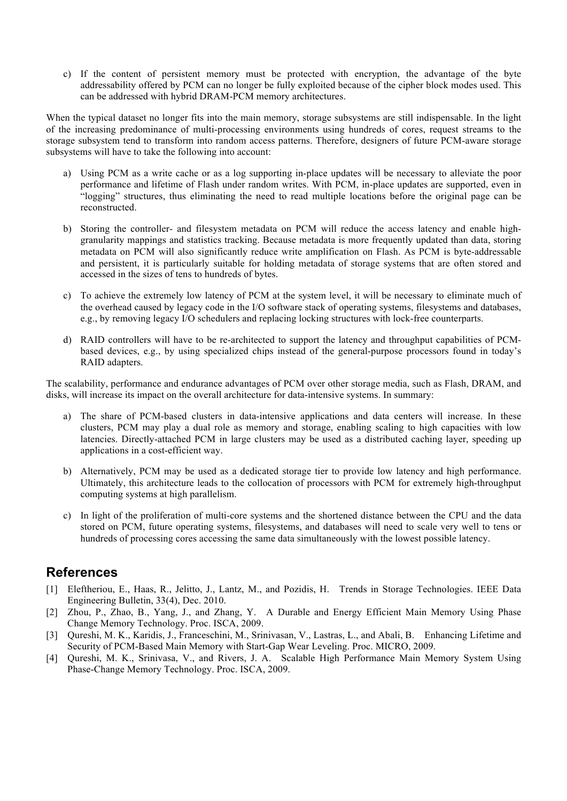c) If the content of persistent memory must be protected with encryption, the advantage of the byte addressability offered by PCM can no longer be fully exploited because of the cipher block modes used. This can be addressed with hybrid DRAM-PCM memory architectures.

When the typical dataset no longer fits into the main memory, storage subsystems are still indispensable. In the light of the increasing predominance of multi-processing environments using hundreds of cores, request streams to the storage subsystem tend to transform into random access patterns. Therefore, designers of future PCM-aware storage subsystems will have to take the following into account:

- a) Using PCM as a write cache or as a log supporting in-place updates will be necessary to alleviate the poor performance and lifetime of Flash under random writes. With PCM, in-place updates are supported, even in "logging" structures, thus eliminating the need to read multiple locations before the original page can be reconstructed.
- b) Storing the controller- and filesystem metadata on PCM will reduce the access latency and enable highgranularity mappings and statistics tracking. Because metadata is more frequently updated than data, storing metadata on PCM will also significantly reduce write amplification on Flash. As PCM is byte-addressable and persistent, it is particularly suitable for holding metadata of storage systems that are often stored and accessed in the sizes of tens to hundreds of bytes.
- c) To achieve the extremely low latency of PCM at the system level, it will be necessary to eliminate much of the overhead caused by legacy code in the I/O software stack of operating systems, filesystems and databases, e.g., by removing legacy I/O schedulers and replacing locking structures with lock-free counterparts.
- d) RAID controllers will have to be re-architected to support the latency and throughput capabilities of PCMbased devices, e.g., by using specialized chips instead of the general-purpose processors found in today's RAID adapters.

The scalability, performance and endurance advantages of PCM over other storage media, such as Flash, DRAM, and disks, will increase its impact on the overall architecture for data-intensive systems. In summary:

- a) The share of PCM-based clusters in data-intensive applications and data centers will increase. In these clusters, PCM may play a dual role as memory and storage, enabling scaling to high capacities with low latencies. Directly-attached PCM in large clusters may be used as a distributed caching layer, speeding up applications in a cost-efficient way.
- b) Alternatively, PCM may be used as a dedicated storage tier to provide low latency and high performance. Ultimately, this architecture leads to the collocation of processors with PCM for extremely high-throughput computing systems at high parallelism.
- c) In light of the proliferation of multi-core systems and the shortened distance between the CPU and the data stored on PCM, future operating systems, filesystems, and databases will need to scale very well to tens or hundreds of processing cores accessing the same data simultaneously with the lowest possible latency.

## **References**

- [1] Eleftheriou, E., Haas, R., Jelitto, J., Lantz, M., and Pozidis, H. Trends in Storage Technologies. IEEE Data Engineering Bulletin, 33(4), Dec. 2010.
- [2] Zhou, P., Zhao, B., Yang, J., and Zhang, Y. A Durable and Energy Efficient Main Memory Using Phase Change Memory Technology. Proc. ISCA, 2009.
- [3] Qureshi, M. K., Karidis, J., Franceschini, M., Srinivasan, V., Lastras, L., and Abali, B. Enhancing Lifetime and Security of PCM-Based Main Memory with Start-Gap Wear Leveling. Proc. MICRO, 2009.
- [4] Qureshi, M. K., Srinivasa, V., and Rivers, J. A. Scalable High Performance Main Memory System Using Phase-Change Memory Technology. Proc. ISCA, 2009.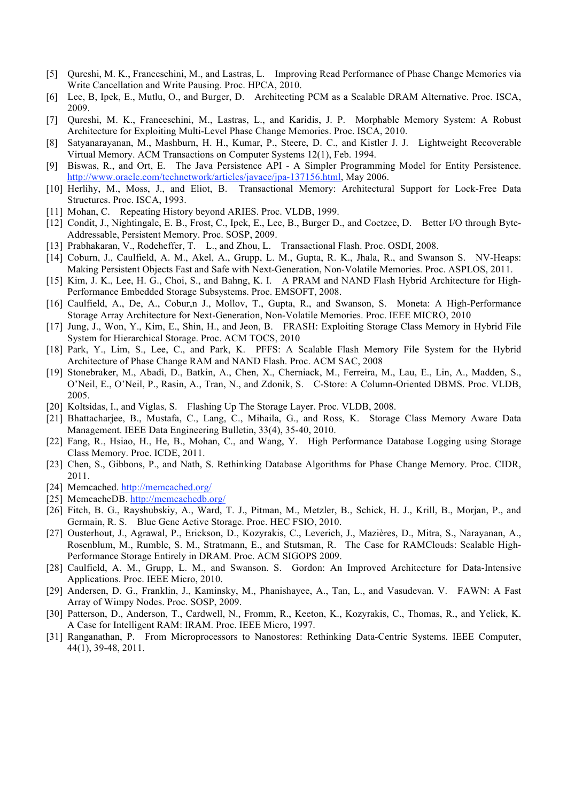- [5] Qureshi, M. K., Franceschini, M., and Lastras, L. Improving Read Performance of Phase Change Memories via Write Cancellation and Write Pausing. Proc. HPCA, 2010.
- [6] Lee, B, Ipek, E., Mutlu, O., and Burger, D. Architecting PCM as a Scalable DRAM Alternative. Proc. ISCA, 2009.
- [7] Qureshi, M. K., Franceschini, M., Lastras, L., and Karidis, J. P. Morphable Memory System: A Robust Architecture for Exploiting Multi-Level Phase Change Memories. Proc. ISCA, 2010.
- [8] Satyanarayanan, M., Mashburn, H. H., Kumar, P., Steere, D. C., and Kistler J. J. Lightweight Recoverable Virtual Memory. ACM Transactions on Computer Systems 12(1), Feb. 1994.
- [9] Biswas, R., and Ort, E. The Java Persistence API A Simpler Programming Model for Entity Persistence. http://www.oracle.com/technetwork/articles/javaee/jpa-137156.html, May 2006.
- [10] Herlihy, M., Moss, J., and Eliot, B. Transactional Memory: Architectural Support for Lock-Free Data Structures. Proc. ISCA, 1993.
- [11] Mohan, C. Repeating History beyond ARIES. Proc. VLDB, 1999.
- [12] Condit, J., Nightingale, E. B., Frost, C., Ipek, E., Lee, B., Burger D., and Coetzee, D. Better I/O through Byte-Addressable, Persistent Memory. Proc. SOSP, 2009.
- [13] Prabhakaran, V., Rodeheffer, T. L., and Zhou, L. Transactional Flash. Proc. OSDI, 2008.
- [14] Coburn, J., Caulfield, A. M., Akel, A., Grupp, L. M., Gupta, R. K., Jhala, R., and Swanson S. NV-Heaps: Making Persistent Objects Fast and Safe with Next-Generation, Non-Volatile Memories. Proc. ASPLOS, 2011.
- [15] Kim, J. K., Lee, H. G., Choi, S., and Bahng, K. I. A PRAM and NAND Flash Hybrid Architecture for High-Performance Embedded Storage Subsystems. Proc. EMSOFT, 2008.
- [16] Caulfield, A., De, A., Cobur,n J., Mollov, T., Gupta, R., and Swanson, S. Moneta: A High-Performance Storage Array Architecture for Next-Generation, Non-Volatile Memories. Proc. IEEE MICRO, 2010
- [17] Jung, J., Won, Y., Kim, E., Shin, H., and Jeon, B. FRASH: Exploiting Storage Class Memory in Hybrid File System for Hierarchical Storage. Proc. ACM TOCS, 2010
- [18] Park, Y., Lim, S., Lee, C., and Park, K. PFFS: A Scalable Flash Memory File System for the Hybrid Architecture of Phase Change RAM and NAND Flash. Proc. ACM SAC, 2008
- [19] Stonebraker, M., Abadi, D., Batkin, A., Chen, X., Cherniack, M., Ferreira, M., Lau, E., Lin, A., Madden, S., O'Neil, E., O'Neil, P., Rasin, A., Tran, N., and Zdonik, S. C-Store: A Column-Oriented DBMS. Proc. VLDB, 2005.
- [20] Koltsidas, I., and Viglas, S. Flashing Up The Storage Layer. Proc. VLDB, 2008.
- [21] Bhattacharjee, B., Mustafa, C., Lang, C., Mihaila, G., and Ross, K. Storage Class Memory Aware Data Management. IEEE Data Engineering Bulletin, 33(4), 35-40, 2010.
- [22] Fang, R., Hsiao, H., He, B., Mohan, C., and Wang, Y. High Performance Database Logging using Storage Class Memory. Proc. ICDE, 2011.
- [23] Chen, S., Gibbons, P., and Nath, S. Rethinking Database Algorithms for Phase Change Memory. Proc. CIDR, 2011.
- [24] Memcached. http://memcached.org/
- [25] MemcacheDB. http://memcachedb.org/
- [26] Fitch, B. G., Rayshubskiy, A., Ward, T. J., Pitman, M., Metzler, B., Schick, H. J., Krill, B., Morjan, P., and Germain, R. S. Blue Gene Active Storage. Proc. HEC FSIO, 2010.
- [27] Ousterhout, J., Agrawal, P., Erickson, D., Kozyrakis, C., Leverich, J., Mazières, D., Mitra, S., Narayanan, A., Rosenblum, M., Rumble, S. M., Stratmann, E., and Stutsman, R. The Case for RAMClouds: Scalable High-Performance Storage Entirely in DRAM. Proc. ACM SIGOPS 2009.
- [28] Caulfield, A. M., Grupp, L. M., and Swanson. S. Gordon: An Improved Architecture for Data-Intensive Applications. Proc. IEEE Micro, 2010.
- [29] Andersen, D. G., Franklin, J., Kaminsky, M., Phanishayee, A., Tan, L., and Vasudevan. V. FAWN: A Fast Array of Wimpy Nodes. Proc. SOSP, 2009.
- [30] Patterson, D., Anderson, T., Cardwell, N., Fromm, R., Keeton, K., Kozyrakis, C., Thomas, R., and Yelick, K. A Case for Intelligent RAM: IRAM. Proc. IEEE Micro, 1997.
- [31] Ranganathan, P. From Microprocessors to Nanostores: Rethinking Data-Centric Systems. IEEE Computer, 44(1), 39-48, 2011.